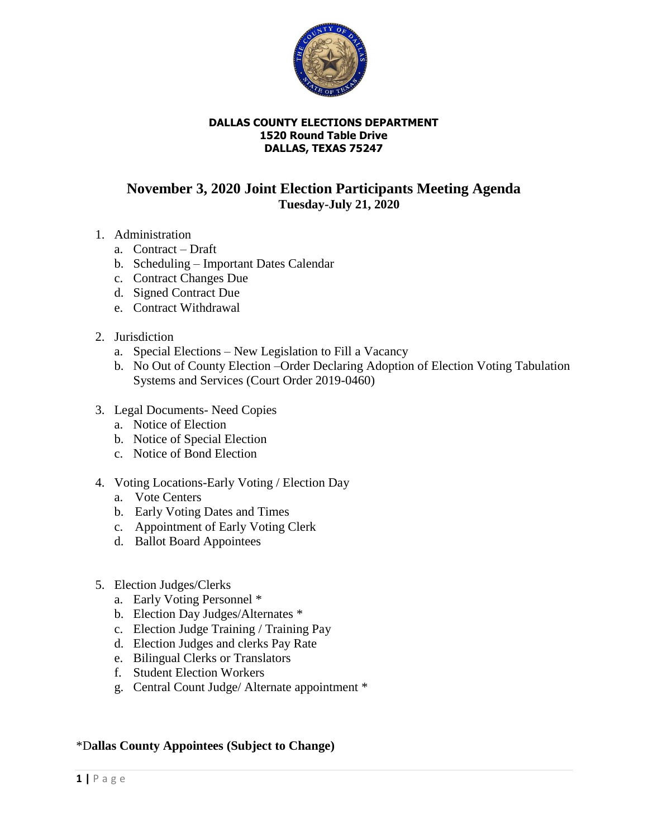

#### **DALLAS COUNTY ELECTIONS DEPARTMENT 1520 Round Table Drive DALLAS, TEXAS 75247**

# **November 3, 2020 Joint Election Participants Meeting Agenda Tuesday-July 21, 2020**

- 1. Administration
	- a. Contract Draft
	- b. Scheduling Important Dates Calendar
	- c. Contract Changes Due
	- d. Signed Contract Due
	- e. Contract Withdrawal
- 2. Jurisdiction
	- a. Special Elections New Legislation to Fill a Vacancy
	- b. No Out of County Election –Order Declaring Adoption of Election Voting Tabulation Systems and Services (Court Order 2019-0460)
- 3. Legal Documents- Need Copies
	- a. Notice of Election
	- b. Notice of Special Election
	- c. Notice of Bond Election
- 4. Voting Locations-Early Voting / Election Day
	- a. Vote Centers
	- b. Early Voting Dates and Times
	- c. Appointment of Early Voting Clerk
	- d. Ballot Board Appointees
- 5. Election Judges/Clerks
	- a. Early Voting Personnel \*
	- b. Election Day Judges/Alternates \*
	- c. Election Judge Training / Training Pay
	- d. Election Judges and clerks Pay Rate
	- e. Bilingual Clerks or Translators
	- f. Student Election Workers
	- g. Central Count Judge/ Alternate appointment \*

### \*D**allas County Appointees (Subject to Change)**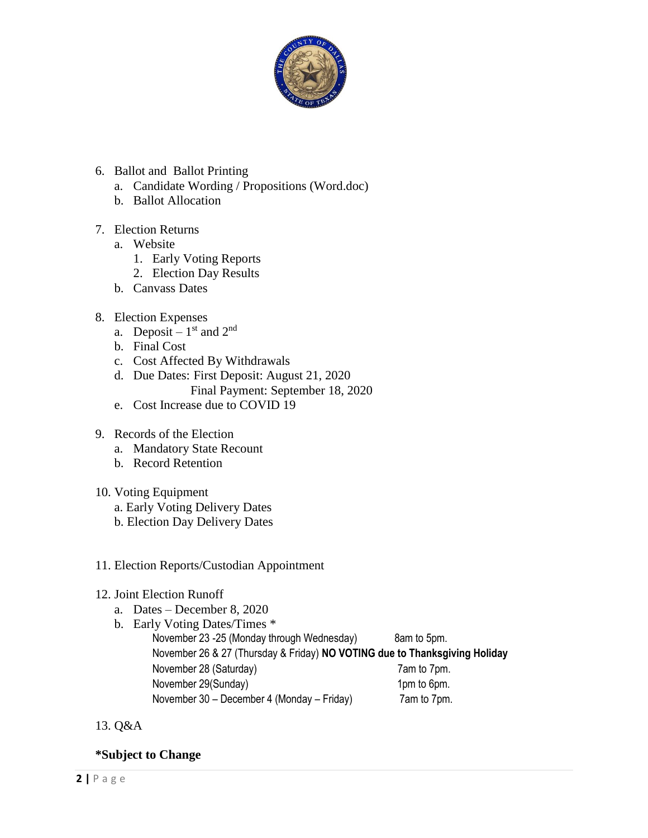

## 6. Ballot and Ballot Printing

- a. Candidate Wording / Propositions (Word.doc)
- b. Ballot Allocation

### 7. Election Returns

- a. Website
	- 1. Early Voting Reports
	- 2. Election Day Results
- b. Canvass Dates

### 8. Election Expenses

- a. Deposit  $1<sup>st</sup>$  and  $2<sup>nd</sup>$
- b. Final Cost
- c. Cost Affected By Withdrawals
- d. Due Dates: First Deposit: August 21, 2020 Final Payment: September 18, 2020
- e. Cost Increase due to COVID 19
- 9. Records of the Election
	- a. Mandatory State Recount
	- b. Record Retention

### 10. Voting Equipment

- a. Early Voting Delivery Dates
- b. Election Day Delivery Dates

### 11. Election Reports/Custodian Appointment

### 12. Joint Election Runoff

- a. Dates December 8, 2020
- b. Early Voting Dates/Times \* November 23 -25 (Monday through Wednesday) 8am to 5pm. November 26 & 27 (Thursday & Friday) **NO VOTING due to Thanksgiving Holiday** November 28 (Saturday) 7am to 7pm. November 29(Sunday) 1pm to 6pm. November 30 – December 4 (Monday – Friday) 7am to 7pm.
- 13. Q&A

## **\*Subject to Change**